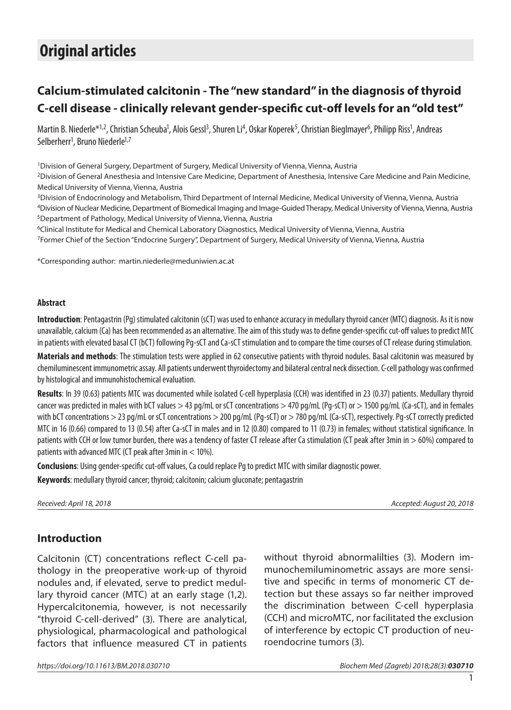# **Original articles**

# **Calcium-stimulated calcitonin - The "new standard" in the diagnosis of thyroid C-cell disease - clinically relevant gender-specific cut-off levels for an "old test"**

Martin B. Niederle\*<sup>1,2</sup>, Christian Scheuba<sup>1</sup>, Alois Gessl<sup>3</sup>, Shuren Li<sup>4</sup>, Oskar Koperek<sup>5</sup>, Christian Bieglmayer<sup>6</sup>, Philipp Riss<sup>1</sup>, Andreas Selberherr<sup>1</sup>, Bruno Niederle<sup>1,7</sup>

1Division of General Surgery, Department of Surgery, Medical University of Vienna, Vienna, Austria

2Division of General Anesthesia and Intensive Care Medicine, Department of Anesthesia, Intensive Care Medicine and Pain Medicine, Medical University of Vienna, Vienna, Austria

<sup>3</sup>Division of Endocrinology and Metabolism, Third Department of Internal Medicine, Medical University of Vienna, Vienna, Austria 4Division of Nuclear Medicine, Department of Biomedical Imaging and Image-Guided Therapy, Medical University of Vienna, Vienna, Austria 5Department of Pathology, Medical University of Vienna, Vienna, Austria

6Clinical Institute for Medical and Chemical Laboratory Diagnostics, Medical University of Vienna, Vienna, Austria 7Former Chief of the Section "Endocrine Surgery", Department of Surgery, Medical University of Vienna, Vienna, Austria

\*Corresponding author: martin.niederle@meduniwien.ac.at

#### **Abstract**

**Introduction**: Pentagastrin (Pg) stimulated calcitonin (sCT) was used to enhance accuracy in medullary thyroid cancer (MTC) diagnosis. As it is now unavailable, calcium (Ca) has been recommended as an alternative. The aim of this study was to define gender-specific cut-off values to predict MTC in patients with elevated basal CT (bCT) following Pg-sCT and Ca-sCT stimulation and to compare the time courses of CT release during stimulation.

**Materials and methods**: The stimulation tests were applied in 62 consecutive patients with thyroid nodules. Basal calcitonin was measured by chemiluminescent immunometric assay. All patients underwent thyroidectomy and bilateral central neck dissection. C-cell pathology was confirmed by histological and immunohistochemical evaluation.

**Results**: In 39 (0.63) patients MTC was documented while isolated C-cell hyperplasia (CCH) was identified in 23 (0.37) patients. Medullary thyroid cancer was predicted in males with bCT values > 43 pg/mL or sCT concentrations > 470 pg/mL (Pg-sCT) or > 1500 pg/mL (Ca-sCT), and in females with bCT concentrations > 23 pg/mL or sCT concentrations > 200 pg/mL (Pg-sCT) or > 780 pg/mL (Ca-sCT), respectively. Pg-sCT correctly predicted MTC in 16 (0.66) compared to 13 (0.54) after Ca-sCT in males and in 12 (0.80) compared to 11 (0.73) in females; without statistical significance. In patients with CCH or low tumor burden, there was a tendency of faster CT release after Ca stimulation (CT peak after 3min in > 60%) compared to patients with advanced MTC (CT peak after 3min in < 10%).

**Conclusions**: Using gender-specific cut-off values, Ca could replace Pg to predict MTC with similar diagnostic power.

**Keywords**: medullary thyroid cancer; thyroid; calcitonin; calcium gluconate; pentagastrin

*Received: April 18, 2018 Accepted: August 20, 2018*

### **Introduction**

Calcitonin (CT) concentrations reflect C-cell pathology in the preoperative work-up of thyroid nodules and, if elevated, serve to predict medullary thyroid cancer (MTC) at an early stage (1,2). Hypercalcitonemia, however, is not necessarily "thyroid C-cell-derived" (3). There are analytical, physiological, pharmacological and pathological factors that influence measured CT in patients

without thyroid abnormalilties (3). Modern immunochemiluminometric assays are more sensitive and specific in terms of monomeric CT detection but these assays so far neither improved the discrimination between C-cell hyperplasia (CCH) and microMTC, nor facilitated the exclusion of interference by ectopic CT production of neuroendocrine tumors (3).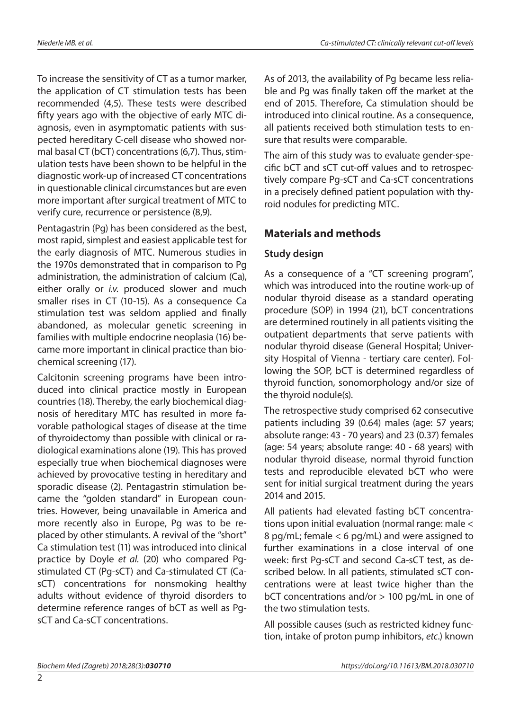To increase the sensitivity of CT as a tumor marker, the application of CT stimulation tests has been recommended (4,5). These tests were described fifty years ago with the objective of early MTC diagnosis, even in asymptomatic patients with suspected hereditary C-cell disease who showed normal basal CT (bCT) concentrations (6,7). Thus, stimulation tests have been shown to be helpful in the diagnostic work-up of increased CT concentrations in questionable clinical circumstances but are even more important after surgical treatment of MTC to verify cure, recurrence or persistence (8,9).

Pentagastrin (Pg) has been considered as the best, most rapid, simplest and easiest applicable test for the early diagnosis of MTC. Numerous studies in the 1970s demonstrated that in comparison to Pg administration, the administration of calcium (Ca), either orally or *i.v.* produced slower and much smaller rises in CT (10-15). As a consequence Ca stimulation test was seldom applied and finally abandoned, as molecular genetic screening in families with multiple endocrine neoplasia (16) became more important in clinical practice than biochemical screening (17).

Calcitonin screening programs have been introduced into clinical practice mostly in European countries (18). Thereby, the early biochemical diagnosis of hereditary MTC has resulted in more favorable pathological stages of disease at the time of thyroidectomy than possible with clinical or radiological examinations alone (19). This has proved especially true when biochemical diagnoses were achieved by provocative testing in hereditary and sporadic disease (2). Pentagastrin stimulation became the "golden standard" in European countries. However, being unavailable in America and more recently also in Europe, Pg was to be replaced by other stimulants. A revival of the "short" Ca stimulation test (11) was introduced into clinical practice by Doyle *et al.* (20) who compared Pgstimulated CT (Pg-sCT) and Ca-stimulated CT (CasCT) concentrations for nonsmoking healthy adults without evidence of thyroid disorders to determine reference ranges of bCT as well as PgsCT and Ca-sCT concentrations.

As of 2013, the availability of Pg became less reliable and Pg was finally taken off the market at the end of 2015. Therefore, Ca stimulation should be introduced into clinical routine. As a consequence, all patients received both stimulation tests to ensure that results were comparable.

The aim of this study was to evaluate gender-specific bCT and sCT cut-off values and to retrospectively compare Pg-sCT and Ca-sCT concentrations in a precisely defined patient population with thyroid nodules for predicting MTC.

## **Materials and methods**

## **Study design**

As a consequence of a "CT screening program", which was introduced into the routine work-up of nodular thyroid disease as a standard operating procedure (SOP) in 1994 (21), bCT concentrations are determined routinely in all patients visiting the outpatient departments that serve patients with nodular thyroid disease (General Hospital; University Hospital of Vienna - tertiary care center). Following the SOP, bCT is determined regardless of thyroid function, sonomorphology and/or size of the thyroid nodule(s).

The retrospective study comprised 62 consecutive patients including 39 (0.64) males (age: 57 years; absolute range: 43 - 70 years) and 23 (0.37) females (age: 54 years; absolute range: 40 - 68 years) with nodular thyroid disease, normal thyroid function tests and reproducible elevated bCT who were sent for initial surgical treatment during the years 2014 and 2015.

All patients had elevated fasting bCT concentrations upon initial evaluation (normal range: male < 8 pg/mL; female < 6 pg/mL) and were assigned to further examinations in a close interval of one week: first Pg-sCT and second Ca-sCT test, as described below. In all patients, stimulated sCT concentrations were at least twice higher than the bCT concentrations and/or > 100 pg/mL in one of the two stimulation tests.

All possible causes (such as restricted kidney function, intake of proton pump inhibitors, *etc*.) known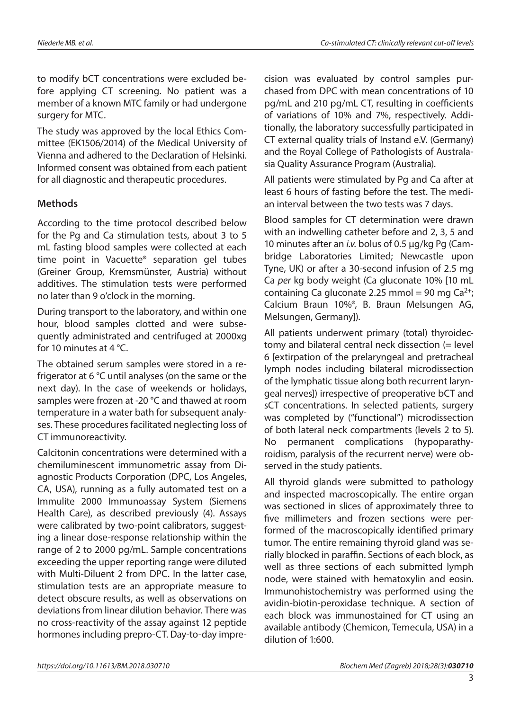to modify bCT concentrations were excluded before applying CT screening. No patient was a member of a known MTC family or had undergone surgery for MTC.

The study was approved by the local Ethics Committee (EK1506/2014) of the Medical University of Vienna and adhered to the Declaration of Helsinki. Informed consent was obtained from each patient for all diagnostic and therapeutic procedures.

#### **Methods**

According to the time protocol described below for the Pg and Ca stimulation tests, about 3 to 5 mL fasting blood samples were collected at each time point in Vacuette® separation gel tubes (Greiner Group, Kremsmünster, Austria) without additives. The stimulation tests were performed no later than 9 o'clock in the morning.

During transport to the laboratory, and within one hour, blood samples clotted and were subsequently administrated and centrifuged at 2000xg for 10 minutes at 4 °C.

The obtained serum samples were stored in a refrigerator at 6 °C until analyses (on the same or the next day). In the case of weekends or holidays, samples were frozen at -20 °C and thawed at room temperature in a water bath for subsequent analyses. These procedures facilitated neglecting loss of CT immunoreactivity.

Calcitonin concentrations were determined with a chemiluminescent immunometric assay from Diagnostic Products Corporation (DPC, Los Angeles, CA, USA), running as a fully automated test on a Immulite 2000 Immunoassay System (Siemens Health Care), as described previously (4). Assays were calibrated by two-point calibrators, suggesting a linear dose-response relationship within the range of 2 to 2000 pg/mL. Sample concentrations exceeding the upper reporting range were diluted with Multi-Diluent 2 from DPC. In the latter case, stimulation tests are an appropriate measure to detect obscure results, as well as observations on deviations from linear dilution behavior. There was no cross-reactivity of the assay against 12 peptide hormones including prepro-CT. Day-to-day imprecision was evaluated by control samples purchased from DPC with mean concentrations of 10 pg/mL and 210 pg/mL CT, resulting in coefficients of variations of 10% and 7%, respectively. Additionally, the laboratory successfully participated in CT external quality trials of Instand e.V. (Germany) and the Royal College of Pathologists of Australasia Quality Assurance Program (Australia).

All patients were stimulated by Pg and Ca after at least 6 hours of fasting before the test. The median interval between the two tests was 7 days.

Blood samples for CT determination were drawn with an indwelling catheter before and 2, 3, 5 and 10 minutes after an *i.v.* bolus of 0.5 µg/kg Pg (Cambridge Laboratories Limited; Newcastle upon Tyne, UK) or after a 30-second infusion of 2.5 mg Ca *per* kg body weight (Ca gluconate 10% [10 mL containing Ca gluconate 2.25 mmol = 90 mg  $Ca^{2+}$ ; Calcium Braun 10%®, B. Braun Melsungen AG, Melsungen, Germany]).

All patients underwent primary (total) thyroidectomy and bilateral central neck dissection (= level 6 [extirpation of the prelaryngeal and pretracheal lymph nodes including bilateral microdissection of the lymphatic tissue along both recurrent laryngeal nerves]) irrespective of preoperative bCT and sCT concentrations. In selected patients, surgery was completed by ("functional") microdissection of both lateral neck compartments (levels 2 to 5). No permanent complications (hypoparathyroidism, paralysis of the recurrent nerve) were observed in the study patients.

All thyroid glands were submitted to pathology and inspected macroscopically. The entire organ was sectioned in slices of approximately three to five millimeters and frozen sections were performed of the macroscopically identified primary tumor. The entire remaining thyroid gland was serially blocked in paraffin. Sections of each block, as well as three sections of each submitted lymph node, were stained with hematoxylin and eosin. Immunohistochemistry was performed using the avidin-biotin-peroxidase technique. A section of each block was immunostained for CT using an available antibody (Chemicon, Temecula, USA) in a dilution of 1:600.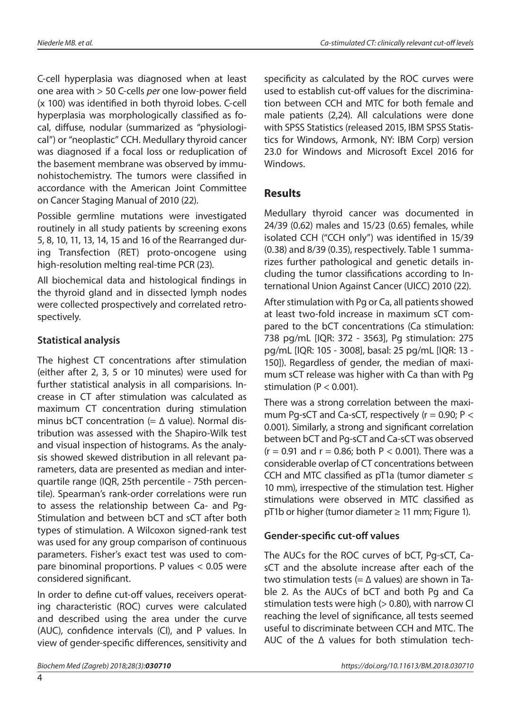C-cell hyperplasia was diagnosed when at least one area with > 50 C-cells *per* one low-power field (x 100) was identified in both thyroid lobes. C-cell hyperplasia was morphologically classified as focal, diffuse, nodular (summarized as "physiological") or "neoplastic" CCH. Medullary thyroid cancer was diagnosed if a focal loss or reduplication of the basement membrane was observed by immunohistochemistry. The tumors were classified in accordance with the American Joint Committee on Cancer Staging Manual of 2010 (22).

Possible germline mutations were investigated routinely in all study patients by screening exons 5, 8, 10, 11, 13, 14, 15 and 16 of the Rearranged during Transfection (RET) proto-oncogene using high-resolution melting real-time PCR (23).

All biochemical data and histological findings in the thyroid gland and in dissected lymph nodes were collected prospectively and correlated retrospectively.

## **Statistical analysis**

The highest CT concentrations after stimulation (either after 2, 3, 5 or 10 minutes) were used for further statistical analysis in all comparisions. Increase in CT after stimulation was calculated as maximum CT concentration during stimulation minus bCT concentration (=  $\Delta$  value). Normal distribution was assessed with the Shapiro-Wilk test and visual inspection of histograms. As the analysis showed skewed distribution in all relevant parameters, data are presented as median and interquartile range (IQR, 25th percentile - 75th percentile). Spearman's rank-order correlations were run to assess the relationship between Ca- and Pg-Stimulation and between bCT and sCT after both types of stimulation. A Wilcoxon signed-rank test was used for any group comparison of continuous parameters. Fisher's exact test was used to compare binominal proportions. P values < 0.05 were considered significant.

In order to define cut-off values, receivers operating characteristic (ROC) curves were calculated and described using the area under the curve (AUC), confidence intervals (CI), and P values. In view of gender-specific differences, sensitivity and specificity as calculated by the ROC curves were used to establish cut-off values for the discrimination between CCH and MTC for both female and male patients (2,24). All calculations were done with SPSS Statistics (released 2015, IBM SPSS Statistics for Windows, Armonk, NY: IBM Corp) version 23.0 for Windows and Microsoft Excel 2016 for Windows.

## **Results**

Medullary thyroid cancer was documented in 24/39 (0.62) males and 15/23 (0.65) females, while isolated CCH ("CCH only") was identified in 15/39 (0.38) and 8/39 (0.35), respectively. Table 1 summarizes further pathological and genetic details including the tumor classifications according to International Union Against Cancer (UICC) 2010 (22).

After stimulation with Pg or Ca, all patients showed at least two-fold increase in maximum sCT compared to the bCT concentrations (Ca stimulation: 738 pg/mL [IQR: 372 - 3563], Pg stimulation: 275 pg/mL [IQR: 105 - 3008], basal: 25 pg/mL [IQR: 13 - 150]). Regardless of gender, the median of maximum sCT release was higher with Ca than with Pg stimulation ( $P < 0.001$ ).

There was a strong correlation between the maximum Pg-sCT and Ca-sCT, respectively ( $r = 0.90$ ; P < 0.001). Similarly, a strong and significant correlation between bCT and Pg-sCT and Ca-sCT was observed  $(r = 0.91$  and  $r = 0.86$ ; both  $P < 0.001$ ). There was a considerable overlap of CT concentrations between CCH and MTC classified as pT1a (tumor diameter ≤ 10 mm), irrespective of the stimulation test. Higher stimulations were observed in MTC classified as  $pT1b$  or higher (tumor diameter  $\geq 11$  mm; Figure 1).

## **Gender-specific cut-off values**

The AUCs for the ROC curves of bCT, Pg-sCT, CasCT and the absolute increase after each of the two stimulation tests (=  $\Delta$  values) are shown in Table 2. As the AUCs of bCT and both Pg and Ca stimulation tests were high ( $> 0.80$ ), with narrow CI reaching the level of significance, all tests seemed useful to discriminate between CCH and MTC. The AUC of the Δ values for both stimulation tech-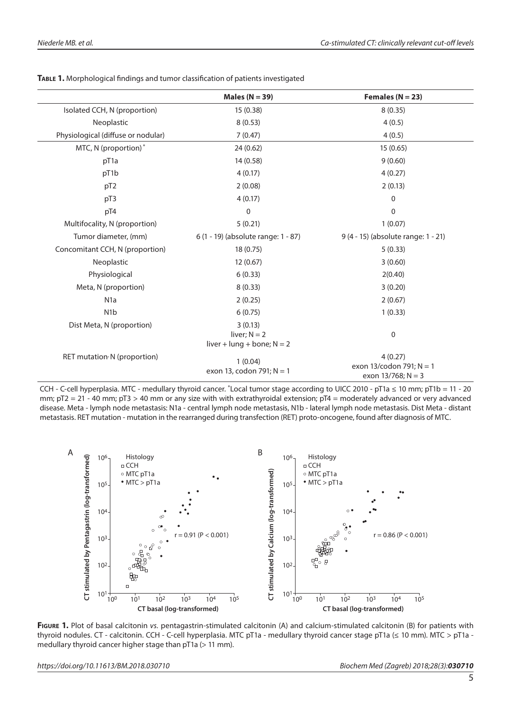|                                    | Males ( $N = 39$ )                             | Females ( $N = 23$ )                                          |
|------------------------------------|------------------------------------------------|---------------------------------------------------------------|
| Isolated CCH, N (proportion)       | 15(0.38)                                       | 8(0.35)                                                       |
| Neoplastic                         | 8(0.53)                                        | 4(0.5)                                                        |
| Physiological (diffuse or nodular) | 7(0.47)                                        | 4(0.5)                                                        |
| MTC, N (proportion)*               | 24 (0.62)                                      | 15 (0.65)                                                     |
| pT1a                               | 14 (0.58)                                      | 9(0.60)                                                       |
| pT1b                               | 4(0.17)                                        | 4(0.27)                                                       |
| pT <sub>2</sub>                    | 2(0.08)                                        | 2(0.13)                                                       |
| pT3                                | 4(0.17)                                        | 0                                                             |
| pT4                                | $\boldsymbol{0}$                               | 0                                                             |
| Multifocality, N (proportion)      | 5(0.21)                                        | 1(0.07)                                                       |
| Tumor diameter, (mm)               | 6 (1 - 19) (absolute range: 1 - 87)            | 9 (4 - 15) (absolute range: 1 - 21)                           |
| Concomitant CCH, N (proportion)    | 18(0.75)                                       | 5(0.33)                                                       |
| Neoplastic                         | 12(0.67)                                       | 3(0.60)                                                       |
| Physiological                      | 6(0.33)                                        | 2(0.40)                                                       |
| Meta, N (proportion)               | 8(0.33)                                        | 3(0.20)                                                       |
| N <sub>1</sub> a                   | 2(0.25)                                        | 2(0.67)                                                       |
| N <sub>1</sub> b                   | 6(0.75)                                        | 1(0.33)                                                       |
| Dist Meta, N (proportion)          | 3(0.13)                                        |                                                               |
|                                    | liver; $N = 2$<br>liver + lung + bone; $N = 2$ | $\Omega$                                                      |
| RET mutation N (proportion)        | 1(0.04)<br>exon 13, codon 791; $N = 1$         | 4(0.27)<br>exon 13/codon 791; $N = 1$<br>exon $13/768; N = 3$ |

**Table 1.** Morphological findings and tumor classification of patients investigated

CCH - C-cell hyperplasia. MTC - medullary thyroid cancer. \*Local tumor stage according to UICC 2010 - pT1a ≤ 10 mm; pT1b = 11 - 20 mm; pT2 = 21 - 40 mm; pT3 > 40 mm or any size with with extrathyroidal extension; pT4 = moderately advanced or very advanced disease. Meta - lymph node metastasis: N1a - central lymph node metastasis, N1b - lateral lymph node metastasis. Dist Meta - distant metastasis. RET mutation - mutation in the rearranged during transfection (RET) proto-oncogene, found after diagnosis of MTC.



**Figure 1.** Plot of basal calcitonin *vs.* pentagastrin-stimulated calcitonin (A) and calcium-stimulated calcitonin (B) for patients with thyroid nodules. CT - calcitonin. CCH - C-cell hyperplasia. MTC pT1a - medullary thyroid cancer stage pT1a (≤ 10 mm). MTC > pT1a medullary thyroid cancer higher stage than pT1a (> 11 mm).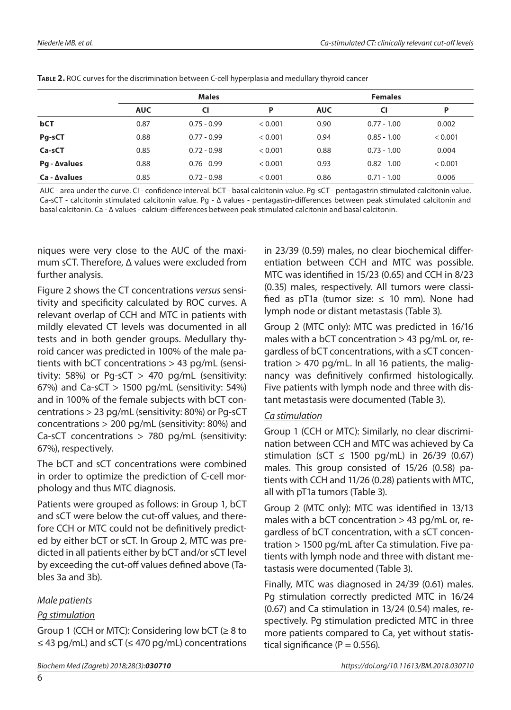|                      | <b>Males</b> |               |         | <b>Females</b> |               |         |  |
|----------------------|--------------|---------------|---------|----------------|---------------|---------|--|
|                      | <b>AUC</b>   | <b>CI</b>     | P       | <b>AUC</b>     | <b>CI</b>     | P       |  |
| bCT                  | 0.87         | $0.75 - 0.99$ | < 0.001 | 0.90           | $0.77 - 1.00$ | 0.002   |  |
| Pg-sCT               | 0.88         | $0.77 - 0.99$ | < 0.001 | 0.94           | $0.85 - 1.00$ | < 0.001 |  |
| $Ca-SCT$             | 0.85         | $0.72 - 0.98$ | < 0.001 | 0.88           | $0.73 - 1.00$ | 0.004   |  |
| $Pg - \Delta$ values | 0.88         | $0.76 - 0.99$ | < 0.001 | 0.93           | $0.82 - 1.00$ | < 0.001 |  |
| $Ca - \Delta values$ | 0.85         | $0.72 - 0.98$ | < 0.001 | 0.86           | $0.71 - 1.00$ | 0.006   |  |

AUC - area under the curve. CI - confidence interval. bCT - basal calcitonin value. Pg-sCT - pentagastrin stimulated calcitonin value. Ca-sCT - calcitonin stimulated calcitonin value. Pg - ∆ values - pentagastin-differences between peak stimulated calcitonin and basal calcitonin. Ca - ∆ values - calcium-differences between peak stimulated calcitonin and basal calcitonin.

niques were very close to the AUC of the maximum sCT. Therefore, Δ values were excluded from further analysis.

Figure 2 shows the CT concentrations *versus* sensitivity and specificity calculated by ROC curves. A relevant overlap of CCH and MTC in patients with mildly elevated CT levels was documented in all tests and in both gender groups. Medullary thyroid cancer was predicted in 100% of the male patients with bCT concentrations > 43 pg/mL (sensitivity: 58%) or Pg-sCT  $>$  470 pg/mL (sensitivity: 67%) and  $Ca$ -sCT  $> 1500$  pg/mL (sensitivity: 54%) and in 100% of the female subjects with bCT concentrations > 23 pg/mL (sensitivity: 80%) or Pg-sCT concentrations > 200 pg/mL (sensitivity: 80%) and Ca-sCT concentrations > 780 pg/mL (sensitivity: 67%), respectively.

The bCT and sCT concentrations were combined in order to optimize the prediction of C-cell morphology and thus MTC diagnosis.

Patients were grouped as follows: in Group 1, bCT and sCT were below the cut-off values, and therefore CCH or MTC could not be definitively predicted by either bCT or sCT. In Group 2, MTC was predicted in all patients either by bCT and/or sCT level by exceeding the cut-off values defined above (Tables 3a and 3b).

### *Male patients*

### *Pg stimulation*

Group 1 (CCH or MTC): Considering low bCT ( $\geq 8$  to  $\leq$  43 pg/mL) and sCT ( $\leq$  470 pg/mL) concentrations

*Biochem Med (Zagreb) 2018;28(3):030710 https://doi.org/10.11613/BM.2018.030710*

in 23/39 (0.59) males, no clear biochemical differentiation between CCH and MTC was possible. MTC was identified in 15/23 (0.65) and CCH in 8/23 (0.35) males, respectively. All tumors were classified as pT1a (tumor size:  $\leq$  10 mm). None had lymph node or distant metastasis (Table 3).

Group 2 (MTC only): MTC was predicted in 16/16 males with a bCT concentration  $> 43$  pg/mL or, regardless of bCT concentrations, with a sCT concentration  $> 470$  pg/mL. In all 16 patients, the malignancy was definitively confirmed histologically. Five patients with lymph node and three with distant metastasis were documented (Table 3).

#### *Ca stimulation*

Group 1 (CCH or MTC): Similarly, no clear discrimination between CCH and MTC was achieved by Ca stimulation (sCT  $\leq$  1500 pg/mL) in 26/39 (0.67) males. This group consisted of 15/26 (0.58) patients with CCH and 11/26 (0.28) patients with MTC, all with pT1a tumors (Table 3).

Group 2 (MTC only): MTC was identified in 13/13 males with a bCT concentration  $> 43$  pg/mL or, regardless of bCT concentration, with a sCT concentration > 1500 pg/mL after Ca stimulation. Five patients with lymph node and three with distant metastasis were documented (Table 3).

Finally, MTC was diagnosed in 24/39 (0.61) males. Pg stimulation correctly predicted MTC in 16/24 (0.67) and Ca stimulation in 13/24 (0.54) males, respectively. Pg stimulation predicted MTC in three more patients compared to Ca, yet without statistical significance ( $P = 0.556$ ).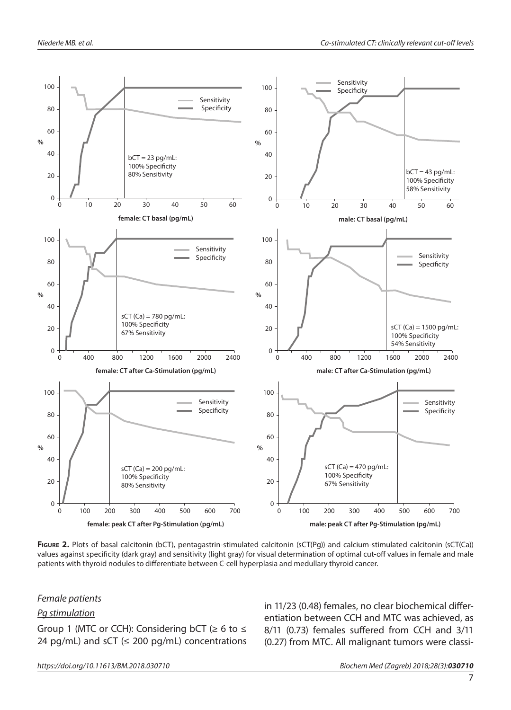

**Figure 2.** Plots of basal calcitonin (bCT), pentagastrin-stimulated calcitonin (sCT(Pg)) and calcium-stimulated calcitonin (sCT(Ca)) values against specificity (dark gray) and sensitivity (light gray) for visual determination of optimal cut-off values in female and male patients with thyroid nodules to differentiate between C-cell hyperplasia and medullary thyroid cancer.

#### *Female patients*

#### *Pg stimulation*

Group 1 (MTC or CCH): Considering bCT ( $\geq 6$  to  $\leq$ 24 pg/mL) and sCT ( $\leq$  200 pg/mL) concentrations in 11/23 (0.48) females, no clear biochemical differentiation between CCH and MTC was achieved, as 8/11 (0.73) females suffered from CCH and 3/11 (0.27) from MTC. All malignant tumors were classi-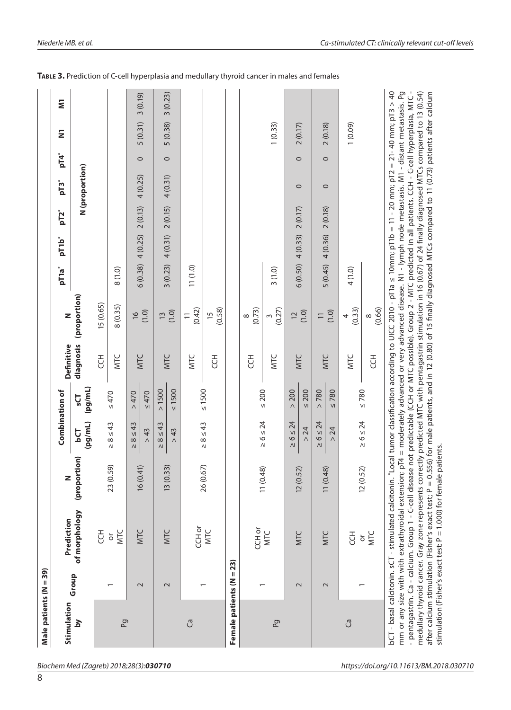| Male patients (N = 39)   |        |                                                                                                                                                                                                                                                                                                                                                                                                                                                                                                                                                                                                                                                                                                                                                                                                                            |                              |                            |                       |            |                                                                                                                      |                    |                                 |         |                    |         |         |         |
|--------------------------|--------|----------------------------------------------------------------------------------------------------------------------------------------------------------------------------------------------------------------------------------------------------------------------------------------------------------------------------------------------------------------------------------------------------------------------------------------------------------------------------------------------------------------------------------------------------------------------------------------------------------------------------------------------------------------------------------------------------------------------------------------------------------------------------------------------------------------------------|------------------------------|----------------------------|-----------------------|------------|----------------------------------------------------------------------------------------------------------------------|--------------------|---------------------------------|---------|--------------------|---------|---------|---------|
| Stimulation              |        | Prediction                                                                                                                                                                                                                                                                                                                                                                                                                                                                                                                                                                                                                                                                                                                                                                                                                 | Z                            | Combination of             |                       | Definitive | Z                                                                                                                    | pT <sub>1a</sub> * | pT1b <sup>*</sup>               | $pT2^*$ | $pT3$ <sup>*</sup> | $pT4^*$ | Ξ       | Ξ       |
| $\mathbf{\Sigma}$        | Group  | of morphology                                                                                                                                                                                                                                                                                                                                                                                                                                                                                                                                                                                                                                                                                                                                                                                                              | (proportion)                 | (pg/mL)<br>bCT             | (lm/pq)<br><b>LDS</b> | diagnosis  | (proportion)                                                                                                         |                    |                                 |         | N (proportion)     |         |         |         |
|                          |        | Ŧ                                                                                                                                                                                                                                                                                                                                                                                                                                                                                                                                                                                                                                                                                                                                                                                                                          |                              |                            |                       | Ŧ          | 15 (0.65)                                                                                                            |                    |                                 |         |                    |         |         |         |
| Ρg                       |        | MTC<br>$\overline{\sigma}$                                                                                                                                                                                                                                                                                                                                                                                                                                                                                                                                                                                                                                                                                                                                                                                                 | (0.59)<br>23(                | $\geq 8 \leq 43$           | $\leq 470$            | MTC        | 8(0.35)                                                                                                              | 8(1.0)             |                                 |         |                    |         |         |         |
|                          |        |                                                                                                                                                                                                                                                                                                                                                                                                                                                                                                                                                                                                                                                                                                                                                                                                                            |                              | $\leq 43$<br>$\frac{8}{1}$ | 0/4 < 0               |            | $\frac{9}{2}$                                                                                                        |                    |                                 |         |                    |         |         |         |
|                          | $\sim$ | MTC                                                                                                                                                                                                                                                                                                                                                                                                                                                                                                                                                                                                                                                                                                                                                                                                                        | (0.41)<br>$\frac{\infty}{2}$ | > 43                       | $\leq 470$            | NTC        | (1.0)                                                                                                                | 6(0.38)            | 4(0.25)                         | 2(0.13) | 4(0.25)            | $\circ$ | 5(0.31) | 3(0.19) |
|                          | $\sim$ | MTC                                                                                                                                                                                                                                                                                                                                                                                                                                                                                                                                                                                                                                                                                                                                                                                                                        | (0.33)<br>$\frac{13}{2}$     | $\geq 8 \leq 43$           | $>1500$               | NTC        | $\overline{13}$                                                                                                      | 3(0.23)            | 4(0.31)                         | 2(0.15) | 4(0.31)            | $\circ$ | 5(0.38) | 3(0.23) |
|                          |        |                                                                                                                                                                                                                                                                                                                                                                                                                                                                                                                                                                                                                                                                                                                                                                                                                            |                              | 43<br>$\wedge$             | $\leq 1500$           |            | (1.0)                                                                                                                |                    |                                 |         |                    |         |         |         |
| ී                        |        | CCH or                                                                                                                                                                                                                                                                                                                                                                                                                                                                                                                                                                                                                                                                                                                                                                                                                     | 26 (0.67)                    | $\geq 8 \leq 43$           | $\leq 1500$           | MTC        | (0.42)<br>$\equiv$                                                                                                   | 11(1.0)            |                                 |         |                    |         |         |         |
|                          |        | MTC                                                                                                                                                                                                                                                                                                                                                                                                                                                                                                                                                                                                                                                                                                                                                                                                                        |                              |                            |                       | Ŧ          | (0.58)<br>15                                                                                                         |                    |                                 |         |                    |         |         |         |
| Female patients (N = 23) |        |                                                                                                                                                                                                                                                                                                                                                                                                                                                                                                                                                                                                                                                                                                                                                                                                                            |                              |                            |                       |            |                                                                                                                      |                    |                                 |         |                    |         |         |         |
|                          |        | CCH or                                                                                                                                                                                                                                                                                                                                                                                                                                                                                                                                                                                                                                                                                                                                                                                                                     |                              |                            |                       | Ŧ          | (0.73)<br>$\infty$                                                                                                   |                    |                                 |         |                    |         |         |         |
| ΡØ                       |        | MTC                                                                                                                                                                                                                                                                                                                                                                                                                                                                                                                                                                                                                                                                                                                                                                                                                        | 11 (0.48)                    | $\geq 6 \leq 24$           | $\leq 200$            | NTC        | (0.27)<br>3                                                                                                          | 3(1.0)             |                                 |         |                    |         | 1(0.33) |         |
|                          | $\sim$ | MTC                                                                                                                                                                                                                                                                                                                                                                                                                                                                                                                                                                                                                                                                                                                                                                                                                        | 12(0.52)                     | $\ge 6 \le 24$<br>> 24     | $\leq 200$<br>$> 200$ | NTC        | (1.0)<br>12                                                                                                          |                    | $6(0.50)$ 4 $(0.33)$ 2 $(0.17)$ |         | $\circ$            | $\circ$ | 2(0.17) |         |
|                          | $\sim$ | MTC                                                                                                                                                                                                                                                                                                                                                                                                                                                                                                                                                                                                                                                                                                                                                                                                                        | 11 (0.48)                    | $\ge 6 \le 24$             | $> 780$               | NTC        | $\equiv$                                                                                                             |                    |                                 |         |                    |         |         |         |
|                          |        |                                                                                                                                                                                                                                                                                                                                                                                                                                                                                                                                                                                                                                                                                                                                                                                                                            |                              | $> 24$                     | $\leq 780$            |            | (1.0)                                                                                                                | 5(0.45)            | 4(0.36)                         | 2(0.18) | $\circ$            | $\circ$ | 2(0.18) |         |
| ී                        |        | <b>HD</b><br>ŏ                                                                                                                                                                                                                                                                                                                                                                                                                                                                                                                                                                                                                                                                                                                                                                                                             | (0.52)<br>12(                | $\ge 6 \le 24$             | $\leq 780$            | MTC        | (0.33)<br>4                                                                                                          | 4(1.0)             |                                 |         |                    |         | (0.09)  |         |
|                          |        | <b>NTC</b>                                                                                                                                                                                                                                                                                                                                                                                                                                                                                                                                                                                                                                                                                                                                                                                                                 |                              |                            |                       | Ŧ          | (0.66)<br>∞                                                                                                          |                    |                                 |         |                    |         |         |         |
|                          |        | bCT - basal calcitonin. sCT - stimulated calcitonin. "Local tumor classification according to UICC 2010 - pT1a $\leq$ 10mm; pT1b = 11 - 20 mm; pT2 = 21-40 mm; pT3 > 40<br>- pentagastrin. Ca - calcium. Group 1 - C-cell disease not predictable (CCH or MTC possible). Group 2 - MTC predicted in all patients. CCH - C-cell hyperplasia, MTC -<br>medullary thyroid cancer. Gray zone represents correctly predicted MTC with pentagastrin stimulation in 16 (0.67) of 24 finally diagnosed MTCs compared to 13 (0.54)<br>mm or any size with with extrathyroidal extension; pT4 = moderately advanced or very advanced disease. N1 - lymph node metastasis. M1 - distant metastasis. Pg<br>stimulation (Fisher's exact test: $P = 1.000$ ) for female patients.<br>after calcium stimulation (Fisher's exact test; P = |                              |                            |                       |            | 0.556) for male patients, and in 12 (0.80) of 15 finally diagnosed MTCs compared to 11 (0.73) patients after calcium |                    |                                 |         |                    |         |         |         |

#### **Table 3.** Prediction of C-cell hyperplasia and medullary thyroid cancer in males and females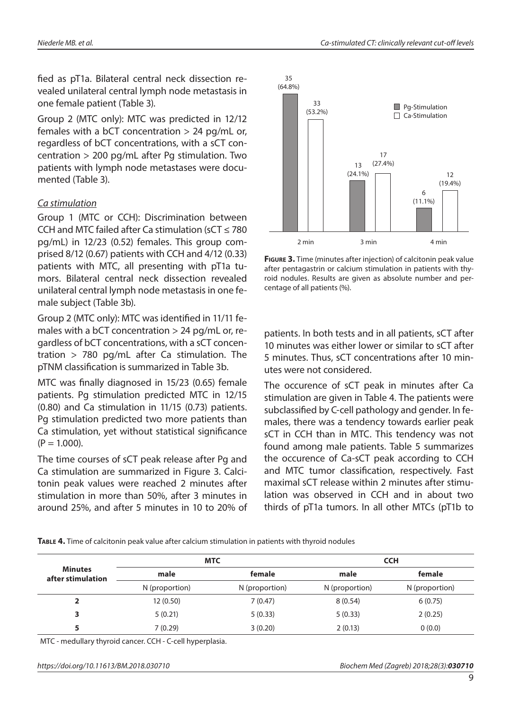fied as pT1a. Bilateral central neck dissection revealed unilateral central lymph node metastasis in one female patient (Table 3).

Group 2 (MTC only): MTC was predicted in 12/12 females with a bCT concentration  $> 24$  pg/mL or, regardless of bCT concentrations, with a sCT concentration > 200 pg/mL after Pg stimulation. Two patients with lymph node metastases were documented (Table 3).

#### *Ca stimulation*

Group 1 (MTC or CCH): Discrimination between CCH and MTC failed after Ca stimulation ( $sCT \le 780$ pg/mL) in 12/23 (0.52) females. This group comprised 8/12 (0.67) patients with CCH and 4/12 (0.33) patients with MTC, all presenting with pT1a tumors. Bilateral central neck dissection revealed unilateral central lymph node metastasis in one female subject (Table 3b).

Group 2 (MTC only): MTC was identified in 11/11 females with a bCT concentration  $> 24$  pg/mL or, regardless of bCT concentrations, with a sCT concentration > 780 pg/mL after Ca stimulation. The pTNM classification is summarized in Table 3b.

MTC was finally diagnosed in 15/23 (0.65) female patients. Pg stimulation predicted MTC in 12/15 (0.80) and Ca stimulation in 11/15 (0.73) patients. Pg stimulation predicted two more patients than Ca stimulation, yet without statistical significance  $(P = 1.000)$ .

The time courses of sCT peak release after Pg and Ca stimulation are summarized in Figure 3. Calcitonin peak values were reached 2 minutes after stimulation in more than 50%, after 3 minutes in around 25%, and after 5 minutes in 10 to 20% of



**Figure 3.** Time (minutes after injection) of calcitonin peak value after pentagastrin or calcium stimulation in patients with thyroid nodules. Results are given as absolute number and percentage of all patients (%).

patients. In both tests and in all patients, sCT after 10 minutes was either lower or similar to sCT after 5 minutes. Thus, sCT concentrations after 10 minutes were not considered.

The occurence of sCT peak in minutes after Ca stimulation are given in Table 4. The patients were subclassified by C-cell pathology and gender. In females, there was a tendency towards earlier peak sCT in CCH than in MTC. This tendency was not found among male patients. Table 5 summarizes the occurence of Ca-sCT peak according to CCH and MTC tumor classification, respectively. Fast maximal sCT release within 2 minutes after stimulation was observed in CCH and in about two thirds of pT1a tumors. In all other MTCs (pT1b to

**Table 4.** Time of calcitonin peak value after calcium stimulation in patients with thyroid nodules

|                                     | <b>MTC</b>     |                | <b>CCH</b>     |                |  |
|-------------------------------------|----------------|----------------|----------------|----------------|--|
| <b>Minutes</b><br>after stimulation | male           | female         | male           | female         |  |
|                                     | N (proportion) | N (proportion) | N (proportion) | N (proportion) |  |
| $\overline{2}$                      | 12(0.50)       | 7(0.47)        | 8(0.54)        | 6(0.75)        |  |
| 3                                   | 5(0.21)        | 5(0.33)        | 5(0.33)        | 2(0.25)        |  |
| 5                                   | 7(0.29)        | 3(0.20)        | 2(0.13)        | 0(0.0)         |  |

MTC - medullary thyroid cancer. CCH - C-cell hyperplasia.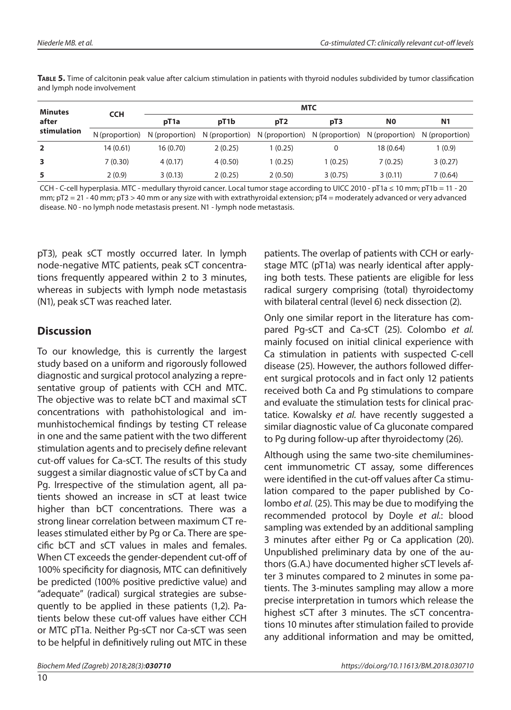| <b>Minutes</b> | <b>CCH</b>     | <b>MTC</b>       |                                                                                      |                 |         |                |                |  |
|----------------|----------------|------------------|--------------------------------------------------------------------------------------|-----------------|---------|----------------|----------------|--|
| after          |                | pT <sub>1a</sub> | pT <sub>1</sub> b                                                                    | pT <sub>2</sub> | pT3     | N <sub>0</sub> | N <sub>1</sub> |  |
| stimulation    | N (proportion) |                  | $N$ (proportion) $N$ (proportion) $N$ (proportion) $N$ (proportion) $N$ (proportion) |                 |         |                | N (proportion) |  |
| $\overline{2}$ | 14(0.61)       | 16(0.70)         | 2(0.25)                                                                              | 1(0.25)         |         | 18(0.64)       | 1 (0.9)        |  |
| 3              | 7(0.30)        | 4(0.17)          | 4(0.50)                                                                              | 1 (0.25)        | 1(0.25) | 7(0.25)        | 3(0.27)        |  |
| 5              | 2(0.9)         | 3(0.13)          | 2(0.25)                                                                              | 2(0.50)         | 3(0.75) | 3(0.11)        | 7(0.64)        |  |

**Table 5.** Time of calcitonin peak value after calcium stimulation in patients with thyroid nodules subdivided by tumor classification and lymph node involvement

CCH - C-cell hyperplasia. MTC - medullary thyroid cancer. Local tumor stage according to UICC 2010 - pT1a ≤ 10 mm; pT1b = 11 - 20 mm; pT2 = 21 - 40 mm; pT3 > 40 mm or any size with with extrathyroidal extension; pT4 = moderately advanced or very advanced disease. N0 - no lymph node metastasis present. N1 - lymph node metastasis.

pT3), peak sCT mostly occurred later. In lymph node-negative MTC patients, peak sCT concentrations frequently appeared within 2 to 3 minutes, whereas in subjects with lymph node metastasis (N1), peak sCT was reached later.

## **Discussion**

To our knowledge, this is currently the largest study based on a uniform and rigorously followed diagnostic and surgical protocol analyzing a representative group of patients with CCH and MTC. The objective was to relate bCT and maximal sCT concentrations with pathohistological and immunhistochemical findings by testing CT release in one and the same patient with the two different stimulation agents and to precisely define relevant cut-off values for Ca-sCT. The results of this study suggest a similar diagnostic value of sCT by Ca and Pg. Irrespective of the stimulation agent, all patients showed an increase in sCT at least twice higher than bCT concentrations. There was a strong linear correlation between maximum CT releases stimulated either by Pg or Ca. There are specific bCT and sCT values in males and females. When CT exceeds the gender-dependent cut-off of 100% specificity for diagnosis, MTC can definitively be predicted (100% positive predictive value) and "adequate" (radical) surgical strategies are subsequently to be applied in these patients (1,2). Patients below these cut-off values have either CCH or MTC pT1a. Neither Pg-sCT nor Ca-sCT was seen to be helpful in definitively ruling out MTC in these

patients. The overlap of patients with CCH or earlystage MTC (pT1a) was nearly identical after applying both tests. These patients are eligible for less radical surgery comprising (total) thyroidectomy with bilateral central (level 6) neck dissection (2).

Only one similar report in the literature has compared Pg-sCT and Ca-sCT (25). Colombo *et al.* mainly focused on initial clinical experience with Ca stimulation in patients with suspected C-cell disease (25). However, the authors followed different surgical protocols and in fact only 12 patients received both Ca and Pg stimulations to compare and evaluate the stimulation tests for clinical practatice. Kowalsky *et al.* have recently suggested a similar diagnostic value of Ca gluconate compared to Pg during follow-up after thyroidectomy (26).

Although using the same two-site chemiluminescent immunometric CT assay, some differences were identified in the cut-off values after Ca stimulation compared to the paper published by Colombo *et al.* (25). This may be due to modifying the recommended protocol by Doyle *et al.*: blood sampling was extended by an additional sampling 3 minutes after either Pg or Ca application (20). Unpublished preliminary data by one of the authors (G.A.) have documented higher sCT levels after 3 minutes compared to 2 minutes in some patients. The 3-minutes sampling may allow a more precise interpretation in tumors which release the highest sCT after 3 minutes. The sCT concentrations 10 minutes after stimulation failed to provide any additional information and may be omitted,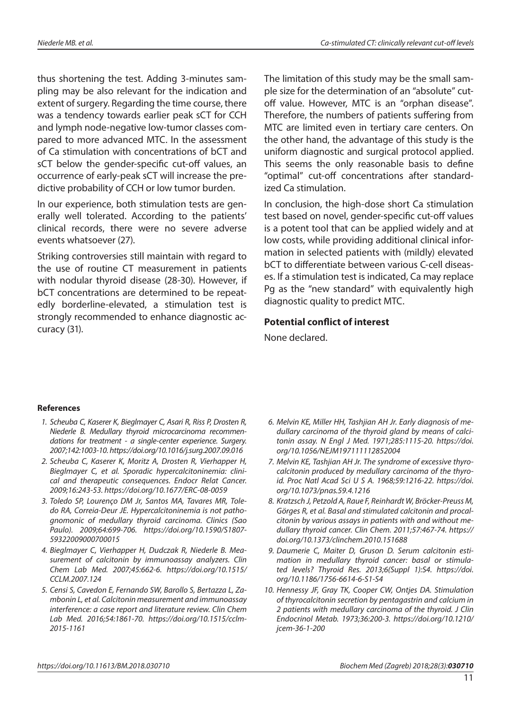thus shortening the test. Adding 3-minutes sampling may be also relevant for the indication and extent of surgery. Regarding the time course, there was a tendency towards earlier peak sCT for CCH and lymph node-negative low-tumor classes compared to more advanced MTC. In the assessment of Ca stimulation with concentrations of bCT and sCT below the gender-specific cut-off values, an occurrence of early-peak sCT will increase the predictive probability of CCH or low tumor burden.

In our experience, both stimulation tests are generally well tolerated. According to the patients' clinical records, there were no severe adverse events whatsoever (27).

Striking controversies still maintain with regard to the use of routine CT measurement in patients with nodular thyroid disease (28-30). However, if bCT concentrations are determined to be repeatedly borderline-elevated, a stimulation test is strongly recommended to enhance diagnostic accuracy (31).

The limitation of this study may be the small sample size for the determination of an "absolute" cutoff value. However, MTC is an "orphan disease". Therefore, the numbers of patients suffering from MTC are limited even in tertiary care centers. On the other hand, the advantage of this study is the uniform diagnostic and surgical protocol applied. This seems the only reasonable basis to define "optimal" cut-off concentrations after standardized Ca stimulation.

In conclusion, the high-dose short Ca stimulation test based on novel, gender-specific cut-off values is a potent tool that can be applied widely and at low costs, while providing additional clinical information in selected patients with (mildly) elevated bCT to differentiate between various C-cell diseases. If a stimulation test is indicated, Ca may replace Pg as the "new standard" with equivalently high diagnostic quality to predict MTC.

#### **Potential conflict of interest**

None declared.

#### **References**

- *1. Scheuba C, Kaserer K, Bieglmayer C, Asari R, Riss P, Drosten R, Niederle B. Medullary thyroid microcarcinoma recommendations for treatment - a single-center experience. Surgery. 2007;142:1003-10. https://doi.org/10.1016/j.surg.2007.09.016*
- *2. Scheuba C, Kaserer K, Moritz A, Drosten R, Vierhapper H, Bieglmayer C, et al. Sporadic hypercalcitoninemia: clinical and therapeutic consequences. Endocr Relat Cancer. 2009;16:243-53. https://doi.org/10.1677/ERC-08-0059*
- *3. Toledo SP, Lourenço DM Jr, Santos MA, Tavares MR, Toledo RA, Correia-Deur JE. Hypercalcitoninemia is not pathognomonic of medullary thyroid carcinoma. Clinics (Sao Paulo). 2009;64:699-706. https://doi.org/10.1590/S1807- 59322009000700015*
- *4. Bieglmayer C, Vierhapper H, Dudczak R, Niederle B. Measurement of calcitonin by immunoassay analyzers. Clin Chem Lab Med. 2007;45:662-6. https://doi.org/10.1515/ CCLM.2007.124*
- *5. Censi S, Cavedon E, Fernando SW, Barollo S, Bertazza L, Zambonin L, et al. Calcitonin measurement and immunoassay interference: a case report and literature review. Clin Chem Lab Med. 2016;54:1861-70. https://doi.org/10.1515/cclm-2015-1161*
- *6. Melvin KE, Miller HH, Tashjian AH Jr. Early diagnosis of medullary carcinoma of the thyroid gland by means of calcitonin assay. N Engl J Med. 1971;285:1115-20. https://doi. org/10.1056/NEJM197111112852004*
- *7. Melvin KE, Tashjian AH Jr. The syndrome of excessive thyrocalcitonin produced by medullary carcinoma of the thyroid. Proc Natl Acad Sci U S A. 1968;59:1216-22. https://doi. org/10.1073/pnas.59.4.1216*
- *8. Kratzsch J, Petzold A, Raue F, Reinhardt W, Bröcker-Preuss M, Görges R, et al. Basal and stimulated calcitonin and procalcitonin by various assays in patients with and without medullary thyroid cancer. Clin Chem. 2011;57:467-74. https:// doi.org/10.1373/clinchem.2010.151688*
- *9. Daumerie C, Maiter D, Gruson D. Serum calcitonin estimation in medullary thyroid cancer: basal or stimulated levels? Thyroid Res. 2013;6(Suppl 1):S4. https://doi. org/10.1186/1756-6614-6-S1-S4*
- *10. Hennessy JF, Gray TK, Cooper CW, Ontjes DA. Stimulation of thyrocalcitonin secretion by pentagastrin and calcium in 2 patients with medullary carcinoma of the thyroid. J Clin Endocrinol Metab. 1973;36:200-3. https://doi.org/10.1210/ jcem-36-1-200*